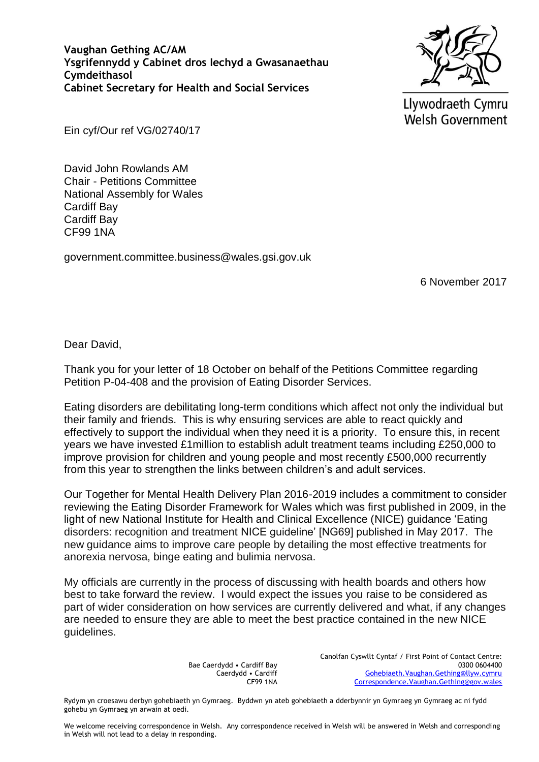**Vaughan Gething AC/AM Ysgrifennydd y Cabinet dros Iechyd a Gwasanaethau Cymdeithasol Cabinet Secretary for Health and Social Services**



Llywodraeth Cymru **Welsh Government** 

Ein cyf/Our ref VG/02740/17

David John Rowlands AM Chair - Petitions Committee National Assembly for Wales Cardiff Bay Cardiff Bay CF99 1NA

government.committee.business@wales.gsi.gov.uk

6 November 2017

Dear David,

Thank you for your letter of 18 October on behalf of the Petitions Committee regarding Petition P-04-408 and the provision of Eating Disorder Services.

Eating disorders are debilitating long-term conditions which affect not only the individual but their family and friends. This is why ensuring services are able to react quickly and effectively to support the individual when they need it is a priority. To ensure this, in recent years we have invested £1million to establish adult treatment teams including £250,000 to improve provision for children and young people and most recently £500,000 recurrently from this year to strengthen the links between children's and adult services.

Our Together for Mental Health Delivery Plan 2016-2019 includes a commitment to consider reviewing the Eating Disorder Framework for Wales which was first published in 2009, in the light of new National Institute for Health and Clinical Excellence (NICE) guidance 'Eating disorders: recognition and treatment NICE guideline' [NG69] published in May 2017. The new guidance aims to improve care people by detailing the most effective treatments for anorexia nervosa, binge eating and bulimia nervosa.

My officials are currently in the process of discussing with health boards and others how best to take forward the review. I would expect the issues you raise to be considered as part of wider consideration on how services are currently delivered and what, if any changes are needed to ensure they are able to meet the best practice contained in the new NICE guidelines.

> Bae Caerdydd • Cardiff Bay Caerdydd • Cardiff CF99 1NA

Canolfan Cyswllt Cyntaf / First Point of Contact Centre: 0300 0604400 [Gohebiaeth.Vaughan.Gething@llyw.cymru](mailto:Gohebiaeth.Vaughan.Gething@llyw.cymru) [Correspondence.Vaughan.Gething@gov.wales](mailto:Correspondence.Vaughan.Gething@gov.wales)

Rydym yn croesawu derbyn gohebiaeth yn Gymraeg. Byddwn yn ateb gohebiaeth a dderbynnir yn Gymraeg yn Gymraeg ac ni fydd gohebu yn Gymraeg yn arwain at oedi.

We welcome receiving correspondence in Welsh. Any correspondence received in Welsh will be answered in Welsh and corresponding in Welsh will not lead to a delay in responding.